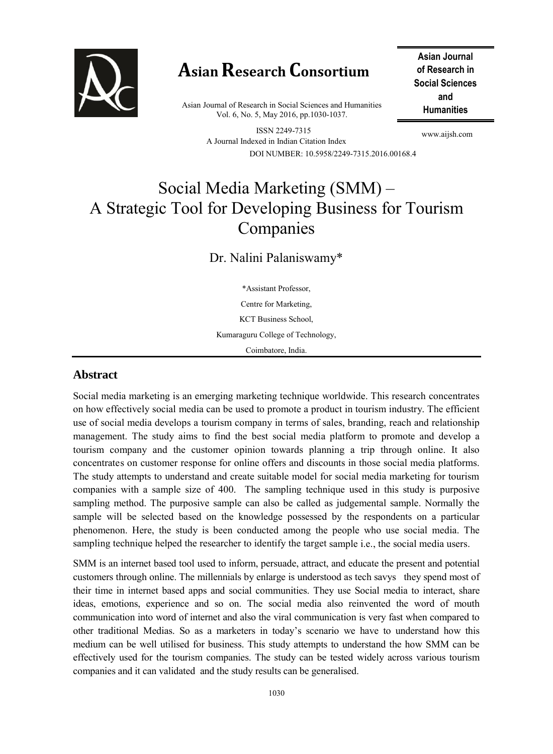

# **Asian Research Consortium**

**Humanities** Asian Journal of Research in Social Sciences and Humanities Vol. 6, No. 5, May 2016, pp.1030-1037.

ISSN 2249-7315 A Journal Indexed in Indian Citation Index DOI NUMBER: 10.5958/2249-7315.2016.00168.4

**Asian Journal of Research in Social Sciences and** 

www.aijsh.com

# Social Media Marketing (SMM) – A Strategic Tool for Developing Business for Tourism Companies

Dr. Nalini Palaniswamy\*

\*Assistant Professor, Centre for Marketing, KCT Business School, Kumaraguru College of Technology, Coimbatore, India.

### **Abstract**

Social media marketing is an emerging marketing technique worldwide. This research concentrates on how effectively social media can be used to promote a product in tourism industry. The efficient use of social media develops a tourism company in terms of sales, branding, reach and relationship management. The study aims to find the best social media platform to promote and develop a tourism company and the customer opinion towards planning a trip through online. It also concentrates on customer response for online offers and discounts in those social media platforms. The study attempts to understand and create suitable model for social media marketing for tourism companies with a sample size of 400. The sampling technique used in this study is purposive sampling method. The purposive sample can also be called as judgemental sample. Normally the sample will be selected based on the knowledge possessed by the respondents on a particular phenomenon. Here, the study is been conducted among the people who use social media. The sampling technique helped the researcher to identify the target sample i.e., the social media users.

SMM is an internet based tool used to inform, persuade, attract, and educate the present and potential customers through online. The millennials by enlarge is understood as tech savys they spend most of their time in internet based apps and social communities. They use Social media to interact, share ideas, emotions, experience and so on. The social media also reinvented the word of mouth communication into word of internet and also the viral communication is very fast when compared to other traditional Medias. So as a marketers in today's scenario we have to understand how this medium can be well utilised for business. This study attempts to understand the how SMM can be effectively used for the tourism companies. The study can be tested widely across various tourism companies and it can validated and the study results can be generalised.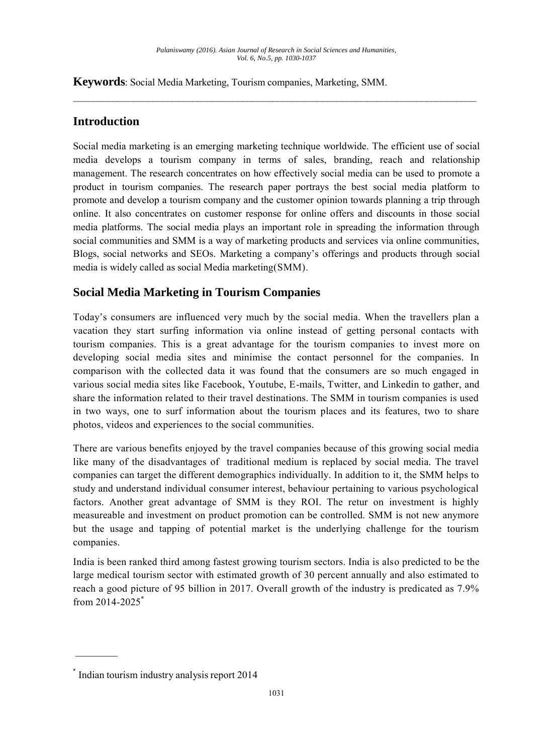\_\_\_\_\_\_\_\_\_\_\_\_\_\_\_\_\_\_\_\_\_\_\_\_\_\_\_\_\_\_\_\_\_\_\_\_\_\_\_\_\_\_\_\_\_\_\_\_\_\_\_\_\_\_\_\_\_\_\_\_\_\_\_\_\_\_\_\_\_\_\_\_\_\_\_\_\_\_\_\_\_

**Keywords**: Social Media Marketing, Tourism companies, Marketing, SMM.

### **Introduction**

Social media marketing is an emerging marketing technique worldwide. The efficient use of social media develops a tourism company in terms of sales, branding, reach and relationship management. The research concentrates on how effectively social media can be used to promote a product in tourism companies. The research paper portrays the best social media platform to promote and develop a tourism company and the customer opinion towards planning a trip through online. It also concentrates on customer response for online offers and discounts in those social media platforms. The social media plays an important role in spreading the information through social communities and SMM is a way of marketing products and services via online communities, Blogs, social networks and SEOs. Marketing a company's offerings and products through social media is widely called as social Media marketing(SMM).

## **Social Media Marketing in Tourism Companies**

Today's consumers are influenced very much by the social media. When the travellers plan a vacation they start surfing information via online instead of getting personal contacts with tourism companies. This is a great advantage for the tourism companies to invest more on developing social media sites and minimise the contact personnel for the companies. In comparison with the collected data it was found that the consumers are so much engaged in various social media sites like Facebook, Youtube, E-mails, Twitter, and Linkedin to gather, and share the information related to their travel destinations. The SMM in tourism companies is used in two ways, one to surf information about the tourism places and its features, two to share photos, videos and experiences to the social communities.

There are various benefits enjoyed by the travel companies because of this growing social media like many of the disadvantages of traditional medium is replaced by social media. The travel companies can target the different demographics individually. In addition to it, the SMM helps to study and understand individual consumer interest, behaviour pertaining to various psychological factors. Another great advantage of SMM is they ROI. The retur on investment is highly measureable and investment on product promotion can be controlled. SMM is not new anymore but the usage and tapping of potential market is the underlying challenge for the tourism companies.

India is been ranked third among fastest growing tourism sectors. India is also predicted to be the large medical tourism sector with estimated growth of 30 percent annually and also estimated to reach a good picture of 95 billion in 2017. Overall growth of the industry is predicated as 7.9% from 2014-2025\*

<sup>\*</sup> Indian tourism industry analysis report 2014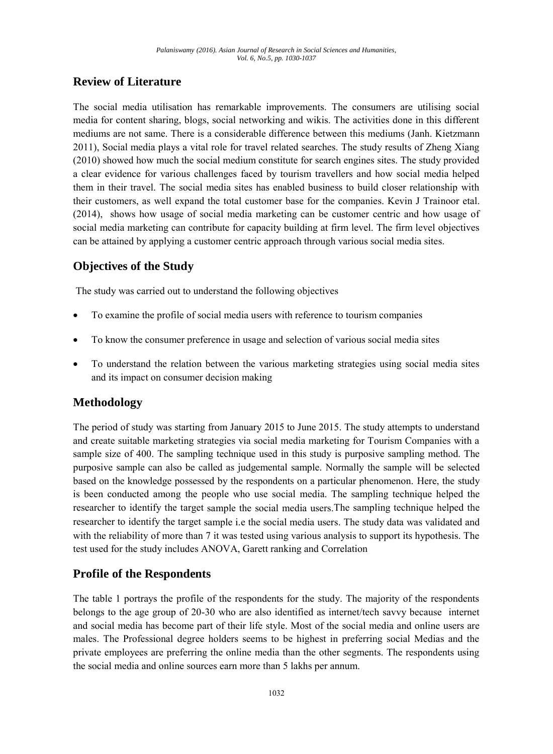### **Review of Literature**

The social media utilisation has remarkable improvements. The consumers are utilising social media for content sharing, blogs, social networking and wikis. The activities done in this different mediums are not same. There is a considerable difference between this mediums (Janh. Kietzmann 2011), Social media plays a vital role for travel related searches. The study results of Zheng Xiang (2010) showed how much the social medium constitute for search engines sites. The study provided a clear evidence for various challenges faced by tourism travellers and how social media helped them in their travel. The social media sites has enabled business to build closer relationship with their customers, as well expand the total customer base for the companies. Kevin J Trainoor etal. (2014), shows how usage of social media marketing can be customer centric and how usage of social media marketing can contribute for capacity building at firm level. The firm level objectives can be attained by applying a customer centric approach through various social media sites.

### **Objectives of the Study**

The study was carried out to understand the following objectives

- To examine the profile of social media users with reference to tourism companies
- To know the consumer preference in usage and selection of various social media sites
- To understand the relation between the various marketing strategies using social media sites and its impact on consumer decision making

### **Methodology**

The period of study was starting from January 2015 to June 2015. The study attempts to understand and create suitable marketing strategies via social media marketing for Tourism Companies with a sample size of 400. The sampling technique used in this study is purposive sampling method. The purposive sample can also be called as judgemental sample. Normally the sample will be selected based on the knowledge possessed by the respondents on a particular phenomenon. Here, the study is been conducted among the people who use social media. The sampling technique helped the researcher to identify the target sample the social media users.The sampling technique helped the researcher to identify the target sample i.e the social media users. The study data was validated and with the reliability of more than 7 it was tested using various analysis to support its hypothesis. The test used for the study includes ANOVA, Garett ranking and Correlation

### **Profile of the Respondents**

The table 1 portrays the profile of the respondents for the study. The majority of the respondents belongs to the age group of 20-30 who are also identified as internet/tech savvy because internet and social media has become part of their life style. Most of the social media and online users are males. The Professional degree holders seems to be highest in preferring social Medias and the private employees are preferring the online media than the other segments. The respondents using the social media and online sources earn more than 5 lakhs per annum.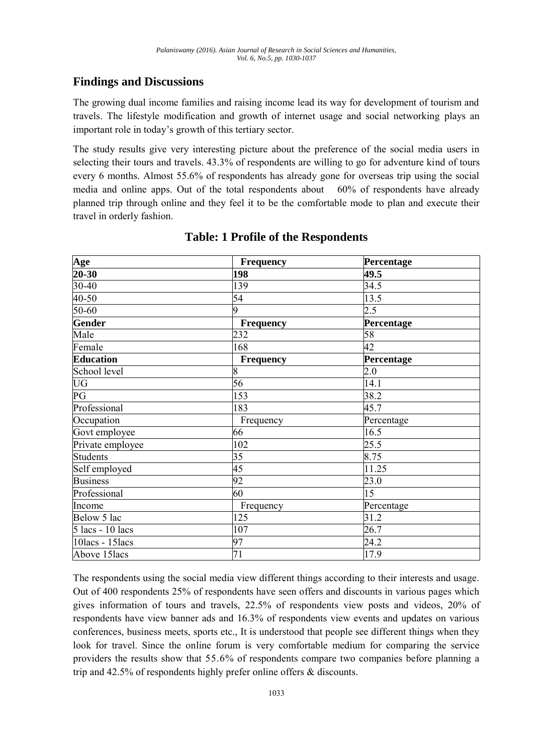### **Findings and Discussions**

The growing dual income families and raising income lead its way for development of tourism and travels. The lifestyle modification and growth of internet usage and social networking plays an important role in today's growth of this tertiary sector.

The study results give very interesting picture about the preference of the social media users in selecting their tours and travels. 43.3% of respondents are willing to go for adventure kind of tours every 6 months. Almost 55.6% of respondents has already gone for overseas trip using the social media and online apps. Out of the total respondents about 60% of respondents have already planned trip through online and they feel it to be the comfortable mode to plan and execute their travel in orderly fashion.

| Age              | Frequency        | Percentage |
|------------------|------------------|------------|
| $20 - 30$        | 198              | 49.5       |
| $30 - 40$        | 139              | 34.5       |
| $40 - 50$        | 54               | 13.5       |
| $50-60$          | 9                | 2.5        |
| Gender           | Frequency        | Percentage |
| Male             | 232              | 58         |
| Female           | 168              | 42         |
| <b>Education</b> | <b>Frequency</b> | Percentage |
| School level     | 8                | 2.0        |
| <b>UG</b>        | 56               | 14.1       |
| $\overline{PG}$  | 153              | 38.2       |
| Professional     | 183              | 45.7       |
| Occupation       | Frequency        | Percentage |
| Govt employee    | 66               | 16.5       |
| Private employee | 102              | 25.5       |
| Students         | 35               | 8.75       |
| Self employed    | 45               | 11.25      |
| <b>Business</b>  | 92               | 23.0       |
| Professional     | 60               | 15         |
| Income           | Frequency        | Percentage |
| Below 5 lac      | 125              | 31.2       |
| 5 lacs - 10 lacs | 107              | 26.7       |
| 10lacs - 15lacs  | 97               | 24.2       |
| Above 15lacs     | 71               | 17.9       |

### **Table: 1 Profile of the Respondents**

The respondents using the social media view different things according to their interests and usage. Out of 400 respondents 25% of respondents have seen offers and discounts in various pages which gives information of tours and travels, 22.5% of respondents view posts and videos, 20% of respondents have view banner ads and 16.3% of respondents view events and updates on various conferences, business meets, sports etc., It is understood that people see different things when they look for travel. Since the online forum is very comfortable medium for comparing the service providers the results show that 55.6% of respondents compare two companies before planning a trip and 42.5% of respondents highly prefer online offers & discounts.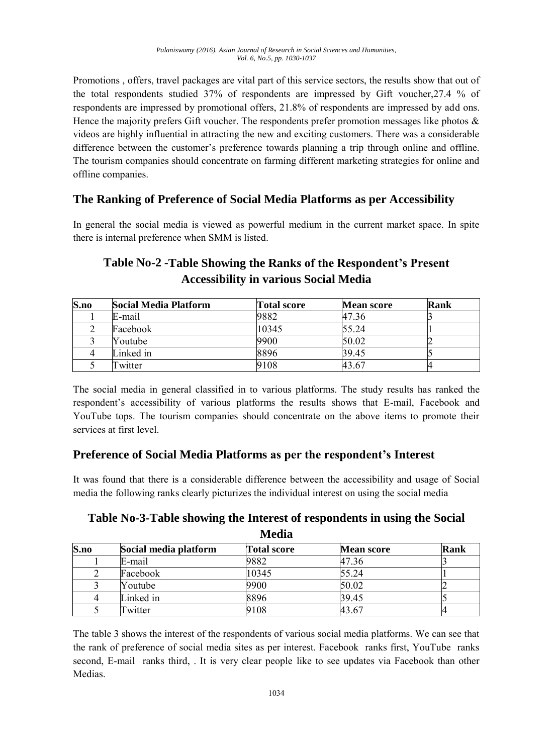Promotions , offers, travel packages are vital part of this service sectors, the results show that out of the total respondents studied 37% of respondents are impressed by Gift voucher,27.4 % of respondents are impressed by promotional offers, 21.8% of respondents are impressed by add ons. Hence the majority prefers Gift voucher. The respondents prefer promotion messages like photos  $\&$ videos are highly influential in attracting the new and exciting customers. There was a considerable difference between the customer's preference towards planning a trip through online and offline. The tourism companies should concentrate on farming different marketing strategies for online and offline companies.

### **The Ranking of Preference of Social Media Platforms as per Accessibility**

In general the social media is viewed as powerful medium in the current market space. In spite there is internal preference when SMM is listed.

# **Table No-2 -Table Showing the Ranks of the Respondent's Present Accessibility in various Social Media**

| S.no | Social Media Platform | <b>Total score</b> | <b>Mean score</b> | Rank |
|------|-----------------------|--------------------|-------------------|------|
|      | E-mail                | 9882               | 47.36             |      |
|      | Facebook              | 10345              | 55.24             |      |
|      | Youtube               | 9900               | 50.02             |      |
|      | Linked in             | 8896               | 39.45             |      |
|      | Twitter               | 9108               | 43.67             |      |

The social media in general classified in to various platforms. The study results has ranked the respondent's accessibility of various platforms the results shows that E-mail, Facebook and YouTube tops. The tourism companies should concentrate on the above items to promote their services at first level.

### **Preference of Social Media Platforms as per the respondent's Interest**

It was found that there is a considerable difference between the accessibility and usage of Social media the following ranks clearly picturizes the individual interest on using the social media

| Table No-3-Table showing the Interest of respondents in using the Social |
|--------------------------------------------------------------------------|
| Media                                                                    |

| S.no | Social media platform | <b>Total score</b> | <b>Mean score</b> | Rank |
|------|-----------------------|--------------------|-------------------|------|
|      | E-mail                | 9882               | 47.36             |      |
|      | Facebook              | 10345              | 55.24             |      |
|      | Youtube               | 9900               | 50.02             |      |
|      | Linked in             | 8896               | 39.45             |      |
|      | Twitter               | 9108               | 43.67             |      |

The table 3 shows the interest of the respondents of various social media platforms. We can see that the rank of preference of social media sites as per interest. Facebook ranks first, YouTube ranks second, E-mail ranks third, . It is very clear people like to see updates via Facebook than other Medias.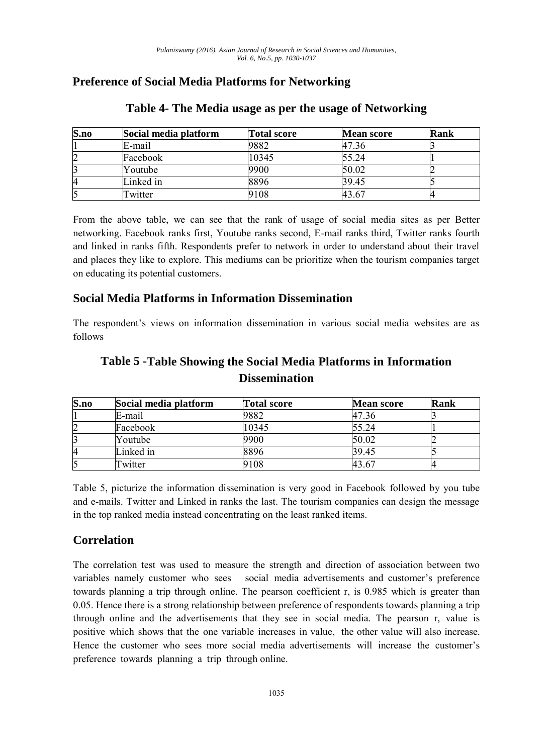## **Preference of Social Media Platforms for Networking**

| S.no | Social media platform | <b>Total score</b> | <b>Mean score</b> | Rank |
|------|-----------------------|--------------------|-------------------|------|
|      | E-mail                | 9882               | 47.36             |      |
|      | Facebook              | 10345              | 55.24             |      |
|      | Youtube               | 9900               | 50.02             |      |
|      | Linked in             | 8896               | 39.45             |      |
|      | Twitter               | 7108               | 43.67             |      |

### **Table 4- The Media usage as per the usage of Networking**

From the above table, we can see that the rank of usage of social media sites as per Better networking. Facebook ranks first, Youtube ranks second, E-mail ranks third, Twitter ranks fourth and linked in ranks fifth. Respondents prefer to network in order to understand about their travel and places they like to explore. This mediums can be prioritize when the tourism companies target on educating its potential customers.

### **Social Media Platforms in Information Dissemination**

The respondent's views on information dissemination in various social media websites are as follows

# **Table 5 -Table Showing the Social Media Platforms in Information Dissemination**

| S.no | Social media platform | <b>Total score</b> | <b>Mean score</b> | Rank |
|------|-----------------------|--------------------|-------------------|------|
|      | E-mail                | 9882               | 47.36             |      |
| 2    | Facebook              | 10345              | 55.24             |      |
|      | Youtube               | 9900               | 50.02             |      |
| 4    | Linked in             | 8896               | 39.45             |      |
|      | Twitter               | 9108               | 43.67             |      |

Table 5, picturize the information dissemination is very good in Facebook followed by you tube and e-mails. Twitter and Linked in ranks the last. The tourism companies can design the message in the top ranked media instead concentrating on the least ranked items.

### **Correlation**

The correlation test was used to measure the strength and direction of association between two variables namely customer who sees social media advertisements and customer's preference towards planning a trip through online. The pearson coefficient r, is 0.985 which is greater than 0.05. Hence there is a strong relationship between preference of respondents towards planning a trip through online and the advertisements that they see in social media. The pearson r, value is positive which shows that the one variable increases in value, the other value will also increase. Hence the customer who sees more social media advertisements will increase the customer's preference towards planning a trip through online.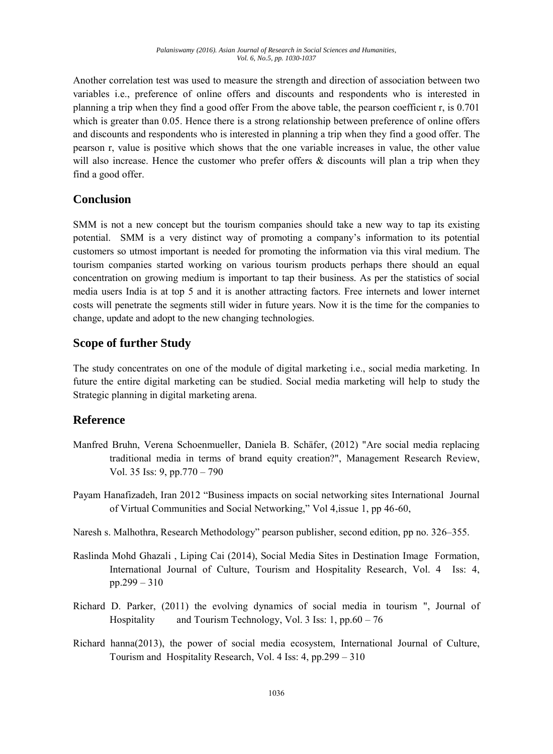Another correlation test was used to measure the strength and direction of association between two variables i.e., preference of online offers and discounts and respondents who is interested in planning a trip when they find a good offer From the above table, the pearson coefficient r, is 0.701 which is greater than 0.05. Hence there is a strong relationship between preference of online offers and discounts and respondents who is interested in planning a trip when they find a good offer. The pearson r, value is positive which shows that the one variable increases in value, the other value will also increase. Hence the customer who prefer offers  $\&$  discounts will plan a trip when they find a good offer.

### **Conclusion**

SMM is not a new concept but the tourism companies should take a new way to tap its existing potential. SMM is a very distinct way of promoting a company's information to its potential customers so utmost important is needed for promoting the information via this viral medium. The tourism companies started working on various tourism products perhaps there should an equal concentration on growing medium is important to tap their business. As per the statistics of social media users India is at top 5 and it is another attracting factors. Free internets and lower internet costs will penetrate the segments still wider in future years. Now it is the time for the companies to change, update and adopt to the new changing technologies.

### **Scope of further Study**

The study concentrates on one of the module of digital marketing i.e., social media marketing. In future the entire digital marketing can be studied. Social media marketing will help to study the Strategic planning in digital marketing arena.

### **Reference**

- Manfred Bruhn, Verena Schoenmueller, Daniela B. Schäfer, (2012) "Are social media replacing traditional media in terms of brand equity creation?", Management Research Review, Vol. 35 Iss: 9, pp.770 – 790
- Payam Hanafizadeh, Iran 2012 "Business impacts on social networking sites International Journal of Virtual Communities and Social Networking," Vol 4,issue 1, pp 46-60,
- Naresh s. Malhothra, Research Methodology" pearson publisher, second edition, pp no. 326–355.
- Raslinda Mohd Ghazali , Liping Cai (2014), Social Media Sites in Destination Image Formation, International Journal of Culture, Tourism and Hospitality Research, Vol. 4 Iss: 4, pp.299 – 310
- Richard D. Parker, (2011) the evolving dynamics of social media in tourism ", Journal of Hospitality and Tourism Technology, Vol. 3 Iss: 1, pp.60 – 76
- Richard hanna(2013), the power of social media ecosystem, International Journal of Culture, Tourism and Hospitality Research, Vol. 4 Iss: 4, pp.299 – 310